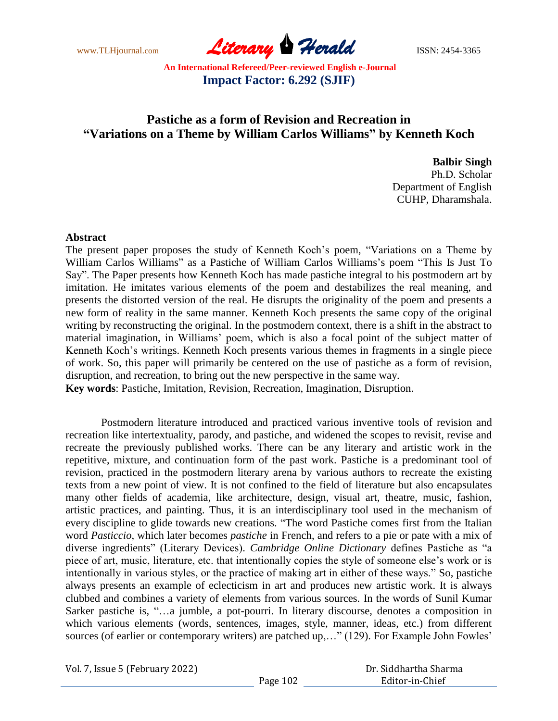www.TLHjournal.com **Literary Herald Herald** ISSN: 2454-3365

# **Pastiche as a form of Revision and Recreation in "Variations on a Theme by William Carlos Williams" by Kenneth Koch**

**Balbir Singh**

Ph.D. Scholar Department of English CUHP, Dharamshala.

#### **Abstract**

The present paper proposes the study of Kenneth Koch"s poem, "Variations on a Theme by William Carlos Williams" as a Pastiche of William Carlos Williams"s poem "This Is Just To Say". The Paper presents how Kenneth Koch has made pastiche integral to his postmodern art by imitation. He imitates various elements of the poem and destabilizes the real meaning, and presents the distorted version of the real. He disrupts the originality of the poem and presents a new form of reality in the same manner. Kenneth Koch presents the same copy of the original writing by reconstructing the original. In the postmodern context, there is a shift in the abstract to material imagination, in Williams" poem, which is also a focal point of the subject matter of Kenneth Koch's writings. Kenneth Koch presents various themes in fragments in a single piece of work. So, this paper will primarily be centered on the use of pastiche as a form of revision, disruption, and recreation, to bring out the new perspective in the same way.

**Key words**: Pastiche, Imitation, Revision, Recreation, Imagination, Disruption.

Postmodern literature introduced and practiced various inventive tools of revision and recreation like intertextuality, parody, and pastiche, and widened the scopes to revisit, revise and recreate the previously published works. There can be any literary and artistic work in the repetitive, mixture, and continuation form of the past work. Pastiche is a predominant tool of revision, practiced in the postmodern literary arena by various authors to recreate the existing texts from a new point of view. It is not confined to the field of literature but also encapsulates many other fields of academia, like architecture, design, visual art, theatre, music, fashion, artistic practices, and painting. Thus, it is an interdisciplinary tool used in the mechanism of every discipline to glide towards new creations. "The word Pastiche comes first from the Italian word *Pasticcio*, which later becomes *pastiche* in French, and refers to a pie or pate with a mix of diverse ingredients" (Literary Devices). *Cambridge Online Dictionary* defines Pastiche as "a piece of art, music, literature, etc. that intentionally copies the style of someone else"s work or is intentionally in various styles, or the practice of making art in either of these ways." So, pastiche always presents an example of eclecticism in art and produces new artistic work. It is always clubbed and combines a variety of elements from various sources. In the words of Sunil Kumar Sarker pastiche is, "…a jumble, a pot-pourri. In literary discourse, denotes a composition in which various elements (words, sentences, images, style, manner, ideas, etc.) from different sources (of earlier or contemporary writers) are patched up,..." (129). For Example John Fowles'

|  |  |  | Vol. 7, Issue 5 (February 2022) |  |
|--|--|--|---------------------------------|--|
|--|--|--|---------------------------------|--|

|          | Dr. Siddhartha Sharma |
|----------|-----------------------|
| Page 102 | Editor-in-Chief       |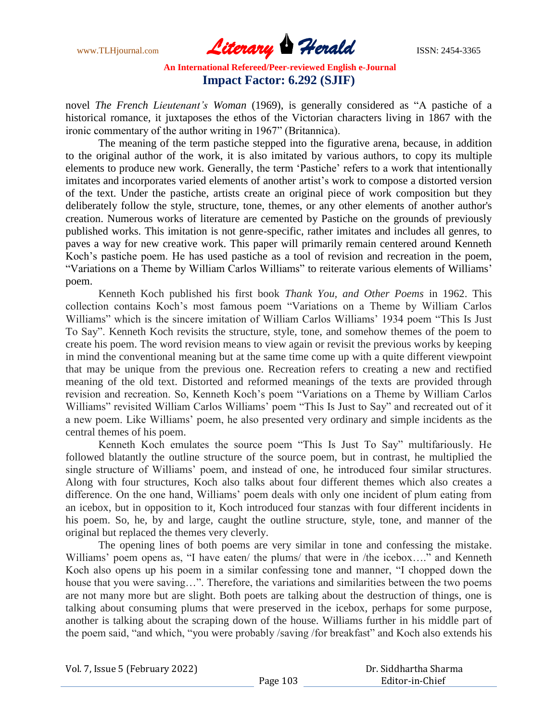www.TLHjournal.com **Literary Herald Herald** ISSN: 2454-3365

novel *The French Lieutenant's Woman* (1969), is generally considered as "A pastiche of a historical romance, it juxtaposes the ethos of the Victorian characters living in 1867 with the ironic commentary of the author writing in 1967" (Britannica).

The meaning of the term pastiche stepped into the figurative arena, because, in addition to the original author of the work, it is also imitated by various authors, to copy its multiple elements to produce new work. Generally, the term "Pastiche" refers to a work that intentionally imitates and incorporates varied elements of another artist's work to compose a distorted version of the text. Under the pastiche, artists create an original piece of work composition but they deliberately follow the style, structure, tone, themes, or any other elements of another author's creation. Numerous works of literature are cemented by Pastiche on the grounds of previously published works. This imitation is not genre-specific, rather imitates and includes all genres, to paves a way for new creative work. This paper will primarily remain centered around Kenneth Koch"s pastiche poem. He has used pastiche as a tool of revision and recreation in the poem, "Variations on a Theme by William Carlos Williams" to reiterate various elements of Williams" poem.

Kenneth Koch published his first book *Thank You, and Other Poems* in 1962. This collection contains Koch"s most famous poem "Variations on a Theme by William Carlos Williams" which is the sincere imitation of William Carlos Williams" 1934 poem "This Is Just To Say". Kenneth Koch revisits the structure, style, tone, and somehow themes of the poem to create his poem. The word revision means to view again or revisit the previous works by keeping in mind the conventional meaning but at the same time come up with a quite different viewpoint that may be unique from the previous one. Recreation refers to creating a new and rectified meaning of the old text. Distorted and reformed meanings of the texts are provided through revision and recreation. So, Kenneth Koch"s poem "Variations on a Theme by William Carlos Williams" revisited William Carlos Williams" poem "This Is Just to Say" and recreated out of it a new poem. Like Williams" poem, he also presented very ordinary and simple incidents as the central themes of his poem.

Kenneth Koch emulates the source poem "This Is Just To Say" multifariously. He followed blatantly the outline structure of the source poem, but in contrast, he multiplied the single structure of Williams' poem, and instead of one, he introduced four similar structures. Along with four structures, Koch also talks about four different themes which also creates a difference. On the one hand, Williams' poem deals with only one incident of plum eating from an icebox, but in opposition to it, Koch introduced four stanzas with four different incidents in his poem. So, he, by and large, caught the outline structure, style, tone, and manner of the original but replaced the themes very cleverly.

The opening lines of both poems are very similar in tone and confessing the mistake. Williams' poem opens as, "I have eaten/ the plums/ that were in /the icebox...." and Kenneth Koch also opens up his poem in a similar confessing tone and manner, "I chopped down the house that you were saving...". Therefore, the variations and similarities between the two poems are not many more but are slight. Both poets are talking about the destruction of things, one is talking about consuming plums that were preserved in the icebox, perhaps for some purpose, another is talking about the scraping down of the house. Williams further in his middle part of the poem said, "and which, "you were probably /saving /for breakfast" and Koch also extends his

| Vol. 7, Issue 5 (February 2022) | Dr. Siddhartha Sharma |                 |
|---------------------------------|-----------------------|-----------------|
|                                 | Page 103              | Editor-in-Chief |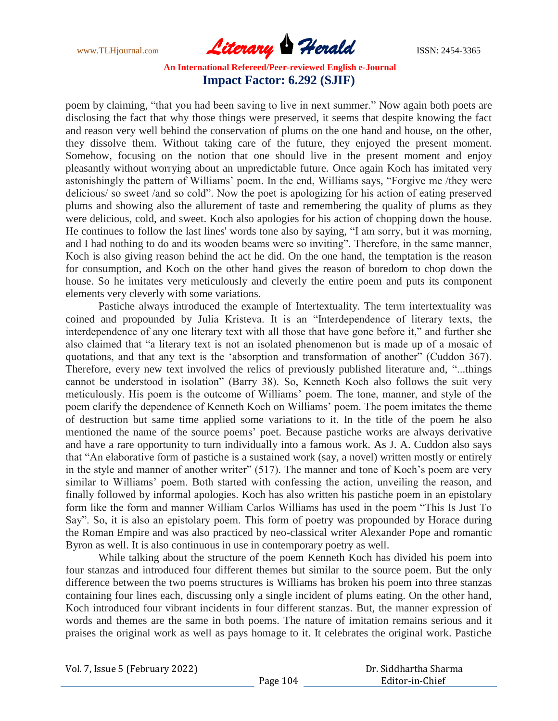www.TLHjournal.com **Literary Herald Herald** ISSN: 2454-3365

poem by claiming, "that you had been saving to live in next summer." Now again both poets are disclosing the fact that why those things were preserved, it seems that despite knowing the fact and reason very well behind the conservation of plums on the one hand and house, on the other, they dissolve them. Without taking care of the future, they enjoyed the present moment. Somehow, focusing on the notion that one should live in the present moment and enjoy pleasantly without worrying about an unpredictable future. Once again Koch has imitated very astonishingly the pattern of Williams' poem. In the end, Williams says, "Forgive me /they were delicious/ so sweet /and so cold". Now the poet is apologizing for his action of eating preserved plums and showing also the allurement of taste and remembering the quality of plums as they were delicious, cold, and sweet. Koch also apologies for his action of chopping down the house. He continues to follow the last lines' words tone also by saying, "I am sorry, but it was morning, and I had nothing to do and its wooden beams were so inviting". Therefore, in the same manner, Koch is also giving reason behind the act he did. On the one hand, the temptation is the reason for consumption, and Koch on the other hand gives the reason of boredom to chop down the house. So he imitates very meticulously and cleverly the entire poem and puts its component elements very cleverly with some variations.

Pastiche always introduced the example of Intertextuality. The term intertextuality was coined and propounded by Julia Kristeva. It is an "Interdependence of literary texts, the interdependence of any one literary text with all those that have gone before it," and further she also claimed that "a literary text is not an isolated phenomenon but is made up of a mosaic of quotations, and that any text is the "absorption and transformation of another" (Cuddon 367). Therefore, every new text involved the relics of previously published literature and, "...things cannot be understood in isolation" (Barry 38). So, Kenneth Koch also follows the suit very meticulously. His poem is the outcome of Williams" poem. The tone, manner, and style of the poem clarify the dependence of Kenneth Koch on Williams" poem. The poem imitates the theme of destruction but same time applied some variations to it. In the title of the poem he also mentioned the name of the source poems" poet. Because pastiche works are always derivative and have a rare opportunity to turn individually into a famous work. As J. A. Cuddon also says that "An elaborative form of pastiche is a sustained work (say, a novel) written mostly or entirely in the style and manner of another writer" (517). The manner and tone of Koch's poem are very similar to Williams' poem. Both started with confessing the action, unveiling the reason, and finally followed by informal apologies. Koch has also written his pastiche poem in an epistolary form like the form and manner William Carlos Williams has used in the poem "This Is Just To Say". So, it is also an epistolary poem. This form of poetry was propounded by Horace during the Roman Empire and was also practiced by neo-classical writer Alexander Pope and romantic Byron as well. It is also continuous in use in contemporary poetry as well.

While talking about the structure of the poem Kenneth Koch has divided his poem into four stanzas and introduced four different themes but similar to the source poem. But the only difference between the two poems structures is Williams has broken his poem into three stanzas containing four lines each, discussing only a single incident of plums eating. On the other hand, Koch introduced four vibrant incidents in four different stanzas. But, the manner expression of words and themes are the same in both poems. The nature of imitation remains serious and it praises the original work as well as pays homage to it. It celebrates the original work. Pastiche

|  |  | Vol. 7, Issue 5 (February 2022) |  |
|--|--|---------------------------------|--|
|  |  |                                 |  |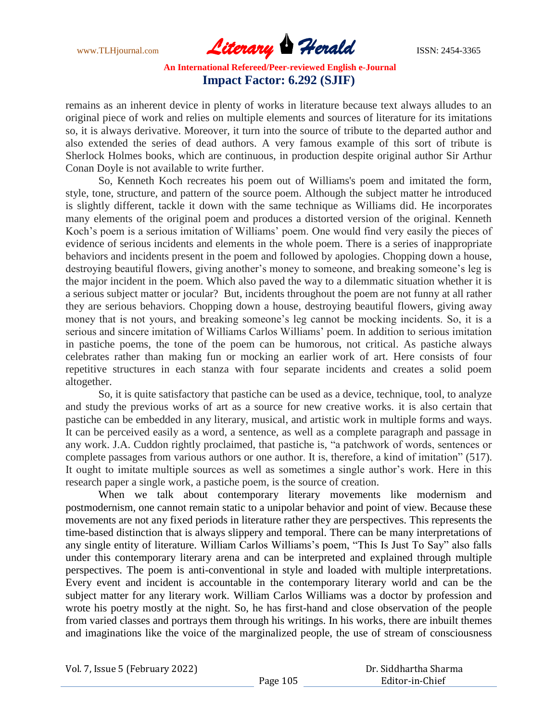www.TLHjournal.com **Literary Herald Herald** ISSN: 2454-3365

remains as an inherent device in plenty of works in literature because text always alludes to an original piece of work and relies on multiple elements and sources of literature for its imitations so, it is always derivative. Moreover, it turn into the source of tribute to the departed author and also extended the series of dead authors. A very famous example of this sort of tribute is Sherlock Holmes books, which are continuous, in production despite original author Sir Arthur Conan Doyle is not available to write further.

So, Kenneth Koch recreates his poem out of Williams's poem and imitated the form, style, tone, structure, and pattern of the source poem. Although the subject matter he introduced is slightly different, tackle it down with the same technique as Williams did. He incorporates many elements of the original poem and produces a distorted version of the original. Kenneth Koch"s poem is a serious imitation of Williams" poem. One would find very easily the pieces of evidence of serious incidents and elements in the whole poem. There is a series of inappropriate behaviors and incidents present in the poem and followed by apologies. Chopping down a house, destroying beautiful flowers, giving another's money to someone, and breaking someone's leg is the major incident in the poem. Which also paved the way to a dilemmatic situation whether it is a serious subject matter or jocular? But, incidents throughout the poem are not funny at all rather they are serious behaviors. Chopping down a house, destroying beautiful flowers, giving away money that is not yours, and breaking someone's leg cannot be mocking incidents. So, it is a serious and sincere imitation of Williams Carlos Williams" poem. In addition to serious imitation in pastiche poems, the tone of the poem can be humorous, not critical. As pastiche always celebrates rather than making fun or mocking an earlier work of art. Here consists of four repetitive structures in each stanza with four separate incidents and creates a solid poem altogether.

So, it is quite satisfactory that pastiche can be used as a device, technique, tool, to analyze and study the previous works of art as a source for new creative works. it is also certain that pastiche can be embedded in any literary, musical, and artistic work in multiple forms and ways. It can be perceived easily as a word, a sentence, as well as a complete paragraph and passage in any work. J.A. Cuddon rightly proclaimed, that pastiche is, "a patchwork of words, sentences or complete passages from various authors or one author. It is, therefore, a kind of imitation" (517). It ought to imitate multiple sources as well as sometimes a single author"s work. Here in this research paper a single work, a pastiche poem, is the source of creation.

When we talk about contemporary literary movements like modernism and postmodernism, one cannot remain static to a unipolar behavior and point of view. Because these movements are not any fixed periods in literature rather they are perspectives. This represents the time-based distinction that is always slippery and temporal. There can be many interpretations of any single entity of literature. William Carlos Williams"s poem, "This Is Just To Say" also falls under this contemporary literary arena and can be interpreted and explained through multiple perspectives. The poem is anti-conventional in style and loaded with multiple interpretations. Every event and incident is accountable in the contemporary literary world and can be the subject matter for any literary work. William Carlos Williams was a doctor by profession and wrote his poetry mostly at the night. So, he has first-hand and close observation of the people from varied classes and portrays them through his writings. In his works, there are inbuilt themes and imaginations like the voice of the marginalized people, the use of stream of consciousness

|  | Vol. 7, Issue 5 (February 2022) |
|--|---------------------------------|
|--|---------------------------------|

|          | Dr. Siddhartha Sharma |
|----------|-----------------------|
| Page 105 | Editor-in-Chief       |